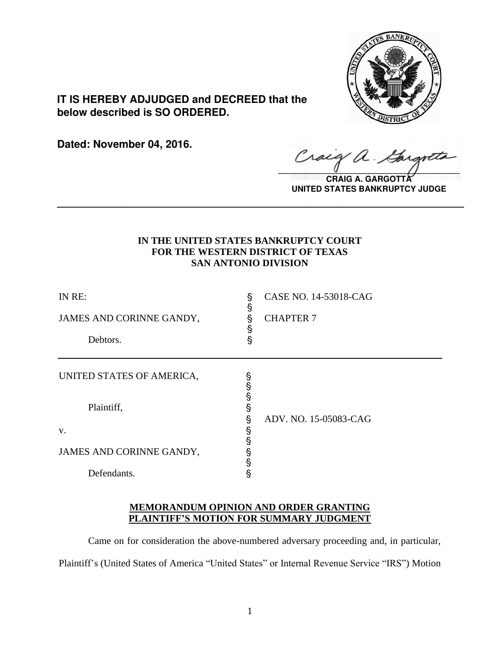

**IT IS HEREBY ADJUDGED and DECREED that the below described is SO ORDERED.**

**Dated: November 04, 2016.**

 $\alpha$ .  $\sqrt{2}$ 

**CRAIG A. GARGOTT UNITED STATES BANKRUPTCY JUDGE**

# **IN THE UNITED STATES BANKRUPTCY COURT FOR THE WESTERN DISTRICT OF TEXAS SAN ANTONIO DIVISION**

**\_\_\_\_\_\_\_\_\_\_\_\_\_\_\_\_\_\_\_\_\_\_\_\_\_\_\_\_\_\_\_\_\_\_\_\_\_\_\_\_\_\_\_\_\_\_\_\_\_\_\_\_\_\_\_\_\_\_\_\_\_\_\_\_**

| IN RE:<br>JAMES AND CORINNE GANDY,<br>Debtors. | S<br>ş<br>§<br>Ş<br>ş      | CASE NO. 14-53018-CAG<br><b>CHAPTER 7</b> |
|------------------------------------------------|----------------------------|-------------------------------------------|
| UNITED STATES OF AMERICA,<br>Plaintiff,        | §<br>§<br>§<br>§           |                                           |
| V.<br>JAMES AND CORINNE GANDY,<br>Defendants.  | §<br>Ş<br>§<br>Ş<br>Ş<br>§ | ADV. NO. 15-05083-CAG                     |

# **MEMORANDUM OPINION AND ORDER GRANTING PLAINTIFF'S MOTION FOR SUMMARY JUDGMENT**

Came on for consideration the above-numbered adversary proceeding and, in particular, Plaintiff's (United States of America "United States" or Internal Revenue Service "IRS") Motion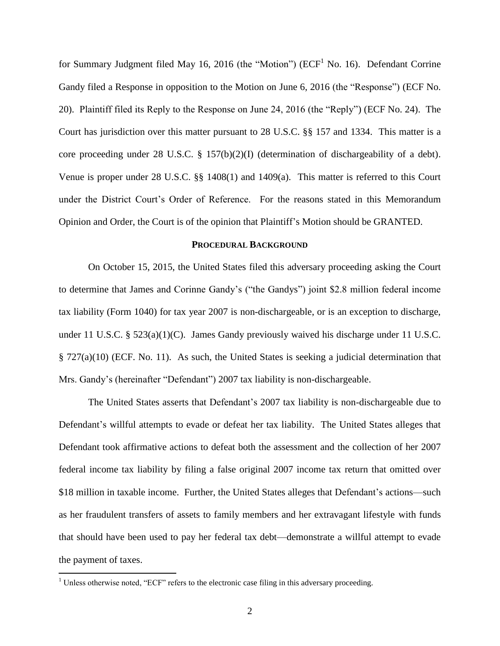for Summary Judgment filed May 16, 2016 (the "Motion") ( $ECF<sup>1</sup>$  No. 16). Defendant Corrine Gandy filed a Response in opposition to the Motion on June 6, 2016 (the "Response") (ECF No. 20). Plaintiff filed its Reply to the Response on June 24, 2016 (the "Reply") (ECF No. 24). The Court has jurisdiction over this matter pursuant to 28 U.S.C. §§ 157 and 1334. This matter is a core proceeding under 28 U.S.C. § 157(b)(2)(I) (determination of dischargeability of a debt). Venue is proper under 28 U.S.C. §§ 1408(1) and 1409(a). This matter is referred to this Court under the District Court's Order of Reference. For the reasons stated in this Memorandum Opinion and Order, the Court is of the opinion that Plaintiff's Motion should be GRANTED.

## **PROCEDURAL BACKGROUND**

On October 15, 2015, the United States filed this adversary proceeding asking the Court to determine that James and Corinne Gandy's ("the Gandys") joint \$2.8 million federal income tax liability (Form 1040) for tax year 2007 is non-dischargeable, or is an exception to discharge, under 11 U.S.C. § 523(a)(1)(C). James Gandy previously waived his discharge under 11 U.S.C. § 727(a)(10) (ECF. No. 11). As such, the United States is seeking a judicial determination that Mrs. Gandy's (hereinafter "Defendant") 2007 tax liability is non-dischargeable.

The United States asserts that Defendant's 2007 tax liability is non-dischargeable due to Defendant's willful attempts to evade or defeat her tax liability. The United States alleges that Defendant took affirmative actions to defeat both the assessment and the collection of her 2007 federal income tax liability by filing a false original 2007 income tax return that omitted over \$18 million in taxable income. Further, the United States alleges that Defendant's actions—such as her fraudulent transfers of assets to family members and her extravagant lifestyle with funds that should have been used to pay her federal tax debt—demonstrate a willful attempt to evade the payment of taxes.

 $1$  Unless otherwise noted, "ECF" refers to the electronic case filing in this adversary proceeding.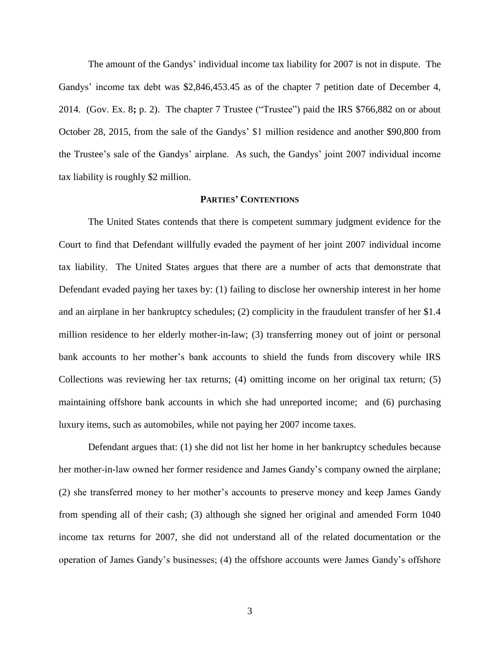The amount of the Gandys' individual income tax liability for 2007 is not in dispute. The Gandys' income tax debt was \$2,846,453.45 as of the chapter 7 petition date of December 4, 2014. (Gov. Ex. 8**;** p. 2). The chapter 7 Trustee ("Trustee") paid the IRS \$766,882 on or about October 28, 2015, from the sale of the Gandys' \$1 million residence and another \$90,800 from the Trustee's sale of the Gandys' airplane. As such, the Gandys' joint 2007 individual income tax liability is roughly \$2 million.

### **PARTIES' CONTENTIONS**

The United States contends that there is competent summary judgment evidence for the Court to find that Defendant willfully evaded the payment of her joint 2007 individual income tax liability. The United States argues that there are a number of acts that demonstrate that Defendant evaded paying her taxes by: (1) failing to disclose her ownership interest in her home and an airplane in her bankruptcy schedules; (2) complicity in the fraudulent transfer of her \$1.4 million residence to her elderly mother-in-law; (3) transferring money out of joint or personal bank accounts to her mother's bank accounts to shield the funds from discovery while IRS Collections was reviewing her tax returns; (4) omitting income on her original tax return; (5) maintaining offshore bank accounts in which she had unreported income; and (6) purchasing luxury items, such as automobiles, while not paying her 2007 income taxes.

Defendant argues that: (1) she did not list her home in her bankruptcy schedules because her mother-in-law owned her former residence and James Gandy's company owned the airplane; (2) she transferred money to her mother's accounts to preserve money and keep James Gandy from spending all of their cash; (3) although she signed her original and amended Form 1040 income tax returns for 2007, she did not understand all of the related documentation or the operation of James Gandy's businesses; (4) the offshore accounts were James Gandy's offshore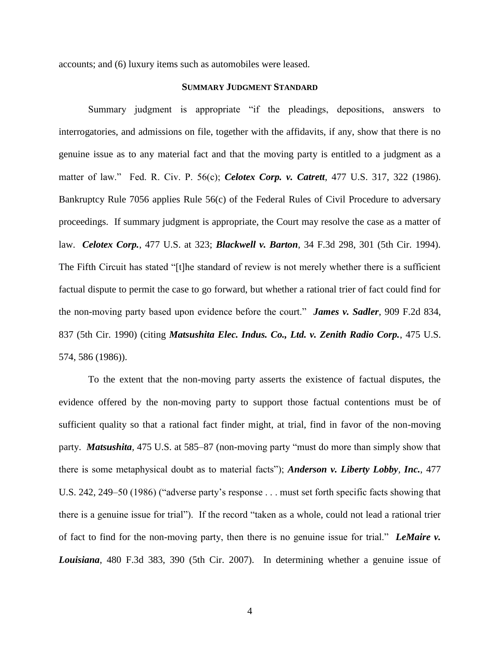accounts; and (6) luxury items such as automobiles were leased.

# **SUMMARY JUDGMENT STANDARD**

Summary judgment is appropriate "if the pleadings, depositions, answers to interrogatories, and admissions on file, together with the affidavits, if any, show that there is no genuine issue as to any material fact and that the moving party is entitled to a judgment as a matter of law." Fed. R. Civ. P. 56(c); *Celotex Corp. v. Catrett*, 477 U.S. 317, 322 (1986). Bankruptcy Rule 7056 applies Rule 56(c) of the Federal Rules of Civil Procedure to adversary proceedings. If summary judgment is appropriate, the Court may resolve the case as a matter of law. *Celotex Corp.*, 477 U.S. at 323; *Blackwell v. Barton*, 34 F.3d 298, 301 (5th Cir. 1994). The Fifth Circuit has stated "[t]he standard of review is not merely whether there is a sufficient factual dispute to permit the case to go forward, but whether a rational trier of fact could find for the non-moving party based upon evidence before the court." *James v. Sadler*, 909 F.2d 834, 837 (5th Cir. 1990) (citing *Matsushita Elec. Indus. Co., Ltd. v. Zenith Radio Corp.*, 475 U.S. 574, 586 (1986)).

To the extent that the non-moving party asserts the existence of factual disputes, the evidence offered by the non-moving party to support those factual contentions must be of sufficient quality so that a rational fact finder might, at trial, find in favor of the non-moving party. *Matsushita,* 475 U.S. at 585–87 (non-moving party "must do more than simply show that there is some metaphysical doubt as to material facts"); *Anderson v. Liberty Lobby, Inc.*, 477 U.S. 242, 249–50 (1986) ("adverse party's response . . . must set forth specific facts showing that there is a genuine issue for trial"). If the record "taken as a whole, could not lead a rational trier of fact to find for the non-moving party, then there is no genuine issue for trial." *LeMaire v. Louisiana*, 480 F.3d 383, 390 (5th Cir. 2007). In determining whether a genuine issue of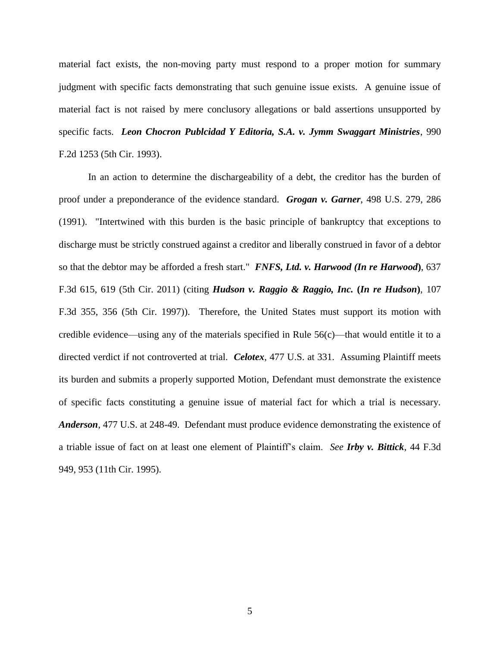material fact exists, the non-moving party must respond to a proper motion for summary judgment with specific facts demonstrating that such genuine issue exists. A genuine issue of material fact is not raised by mere conclusory allegations or bald assertions unsupported by specific facts. *Leon Chocron Publcidad Y Editoria, S.A. v. Jymm Swaggart Ministries*, 990 F.2d 1253 (5th Cir. 1993).

In an action to determine the dischargeability of a debt, the creditor has the burden of proof under a preponderance of the evidence standard. *Grogan v. Garner*, 498 U.S. 279, 286 (1991). "Intertwined with this burden is the basic principle of bankruptcy that exceptions to discharge must be strictly construed against a creditor and liberally construed in favor of a debtor so that the debtor may be afforded a fresh start." *FNFS, Ltd. v. Harwood (In re Harwood***)**, 637 F.3d 615, 619 (5th Cir. 2011) (citing *Hudson v. Raggio & Raggio, Inc.* **(***In re Hudson***)**, 107 F.3d 355, 356 (5th Cir. 1997)). Therefore, the United States must support its motion with credible evidence—using any of the materials specified in Rule 56(c)—that would entitle it to a directed verdict if not controverted at trial. *Celotex*, 477 U.S. at 331. Assuming Plaintiff meets its burden and submits a properly supported Motion, Defendant must demonstrate the existence of specific facts constituting a genuine issue of material fact for which a trial is necessary. *Anderson*, 477 U.S. at 248-49. Defendant must produce evidence demonstrating the existence of a triable issue of fact on at least one element of Plaintiff's claim. *See Irby v. Bittick*, 44 F.3d 949, 953 (11th Cir. 1995).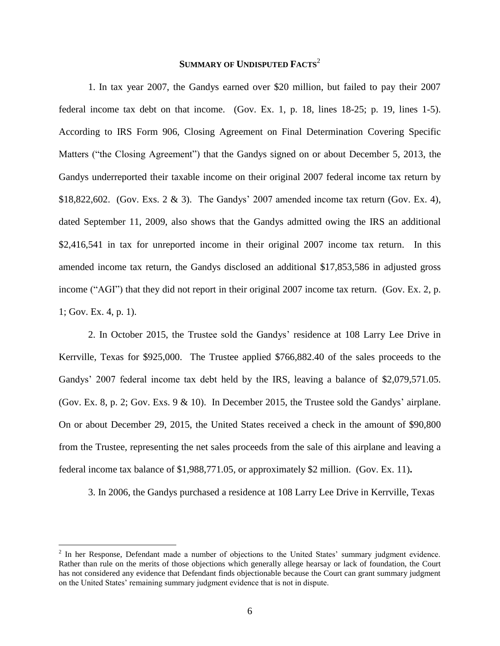# **SUMMARY OF UNDISPUTED FACTS**<sup>2</sup>

1. In tax year 2007, the Gandys earned over \$20 million, but failed to pay their 2007 federal income tax debt on that income. (Gov. Ex. 1, p. 18, lines 18-25; p. 19, lines 1-5). According to IRS Form 906, Closing Agreement on Final Determination Covering Specific Matters ("the Closing Agreement") that the Gandys signed on or about December 5, 2013, the Gandys underreported their taxable income on their original 2007 federal income tax return by \$18,822,602. (Gov. Exs. 2 & 3). The Gandys' 2007 amended income tax return (Gov. Ex. 4), dated September 11, 2009, also shows that the Gandys admitted owing the IRS an additional \$2,416,541 in tax for unreported income in their original 2007 income tax return. In this amended income tax return, the Gandys disclosed an additional \$17,853,586 in adjusted gross income ("AGI") that they did not report in their original 2007 income tax return. (Gov. Ex. 2, p. 1; Gov. Ex. 4, p. 1).

2. In October 2015, the Trustee sold the Gandys' residence at 108 Larry Lee Drive in Kerrville, Texas for \$925,000. The Trustee applied \$766,882.40 of the sales proceeds to the Gandys' 2007 federal income tax debt held by the IRS, leaving a balance of \$2,079,571.05. (Gov. Ex. 8, p. 2; Gov. Exs. 9  $\&$  10). In December 2015, the Trustee sold the Gandys' airplane. On or about December 29, 2015, the United States received a check in the amount of \$90,800 from the Trustee, representing the net sales proceeds from the sale of this airplane and leaving a federal income tax balance of \$1,988,771.05, or approximately \$2 million. (Gov. Ex. 11)**.**

3. In 2006, the Gandys purchased a residence at 108 Larry Lee Drive in Kerrville, Texas

 $2$  In her Response, Defendant made a number of objections to the United States' summary judgment evidence. Rather than rule on the merits of those objections which generally allege hearsay or lack of foundation, the Court has not considered any evidence that Defendant finds objectionable because the Court can grant summary judgment on the United States' remaining summary judgment evidence that is not in dispute.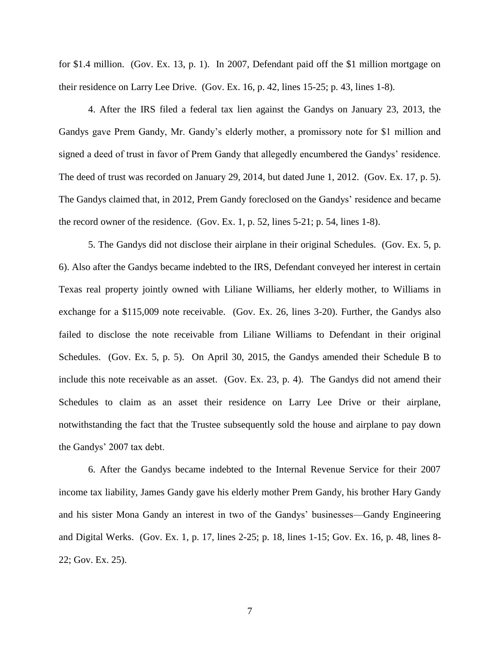for \$1.4 million. (Gov. Ex. 13, p. 1). In 2007, Defendant paid off the \$1 million mortgage on their residence on Larry Lee Drive. (Gov. Ex. 16, p. 42, lines 15-25; p. 43, lines 1-8).

4. After the IRS filed a federal tax lien against the Gandys on January 23, 2013, the Gandys gave Prem Gandy, Mr. Gandy's elderly mother, a promissory note for \$1 million and signed a deed of trust in favor of Prem Gandy that allegedly encumbered the Gandys' residence. The deed of trust was recorded on January 29, 2014, but dated June 1, 2012. (Gov. Ex. 17, p. 5). The Gandys claimed that, in 2012, Prem Gandy foreclosed on the Gandys' residence and became the record owner of the residence. (Gov. Ex. 1, p. 52, lines 5-21; p. 54, lines 1-8).

5. The Gandys did not disclose their airplane in their original Schedules. (Gov. Ex. 5, p. 6). Also after the Gandys became indebted to the IRS, Defendant conveyed her interest in certain Texas real property jointly owned with Liliane Williams, her elderly mother, to Williams in exchange for a \$115,009 note receivable. (Gov. Ex. 26, lines 3-20). Further, the Gandys also failed to disclose the note receivable from Liliane Williams to Defendant in their original Schedules. (Gov. Ex. 5, p. 5). On April 30, 2015, the Gandys amended their Schedule B to include this note receivable as an asset. (Gov. Ex. 23, p. 4). The Gandys did not amend their Schedules to claim as an asset their residence on Larry Lee Drive or their airplane, notwithstanding the fact that the Trustee subsequently sold the house and airplane to pay down the Gandys' 2007 tax debt.

6. After the Gandys became indebted to the Internal Revenue Service for their 2007 income tax liability, James Gandy gave his elderly mother Prem Gandy, his brother Hary Gandy and his sister Mona Gandy an interest in two of the Gandys' businesses—Gandy Engineering and Digital Werks. (Gov. Ex. 1, p. 17, lines 2-25; p. 18, lines 1-15; Gov. Ex. 16, p. 48, lines 8- 22; Gov. Ex. 25).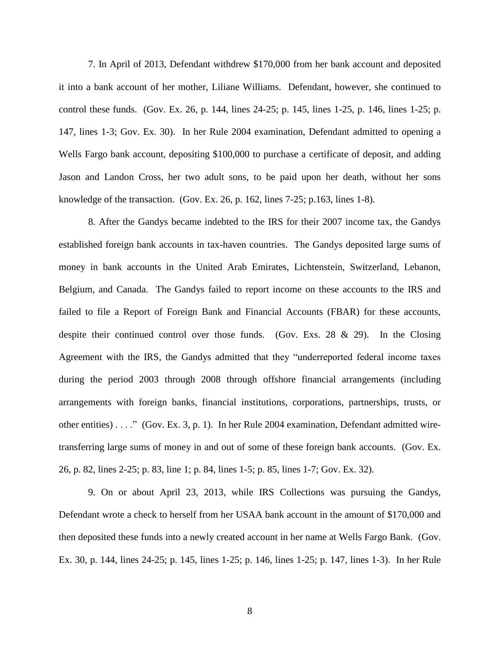7. In April of 2013, Defendant withdrew \$170,000 from her bank account and deposited it into a bank account of her mother, Liliane Williams. Defendant, however, she continued to control these funds. (Gov. Ex. 26, p. 144, lines 24-25; p. 145, lines 1-25, p. 146, lines 1-25; p. 147, lines 1-3; Gov. Ex. 30). In her Rule 2004 examination, Defendant admitted to opening a Wells Fargo bank account, depositing \$100,000 to purchase a certificate of deposit, and adding Jason and Landon Cross, her two adult sons, to be paid upon her death, without her sons knowledge of the transaction. (Gov. Ex. 26, p. 162, lines 7-25; p.163, lines 1-8).

8. After the Gandys became indebted to the IRS for their 2007 income tax, the Gandys established foreign bank accounts in tax-haven countries. The Gandys deposited large sums of money in bank accounts in the United Arab Emirates, Lichtenstein, Switzerland, Lebanon, Belgium, and Canada. The Gandys failed to report income on these accounts to the IRS and failed to file a Report of Foreign Bank and Financial Accounts (FBAR) for these accounts, despite their continued control over those funds. (Gov. Exs. 28 & 29). In the Closing Agreement with the IRS, the Gandys admitted that they "underreported federal income taxes during the period 2003 through 2008 through offshore financial arrangements (including arrangements with foreign banks, financial institutions, corporations, partnerships, trusts, or other entities) . . . ." (Gov. Ex. 3, p. 1). In her Rule 2004 examination, Defendant admitted wiretransferring large sums of money in and out of some of these foreign bank accounts. (Gov. Ex. 26, p. 82, lines 2-25; p. 83, line 1; p. 84, lines 1-5; p. 85, lines 1-7; Gov. Ex. 32).

9. On or about April 23, 2013, while IRS Collections was pursuing the Gandys, Defendant wrote a check to herself from her USAA bank account in the amount of \$170,000 and then deposited these funds into a newly created account in her name at Wells Fargo Bank. (Gov. Ex. 30, p. 144, lines 24-25; p. 145, lines 1-25; p. 146, lines 1-25; p. 147, lines 1-3). In her Rule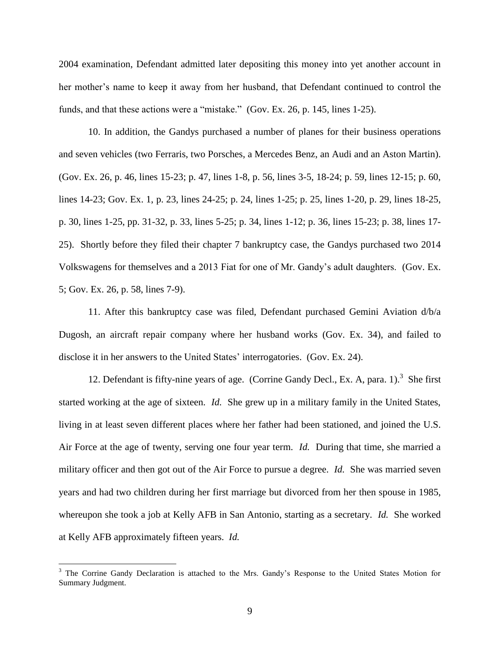2004 examination, Defendant admitted later depositing this money into yet another account in her mother's name to keep it away from her husband, that Defendant continued to control the funds, and that these actions were a "mistake." (Gov. Ex. 26, p. 145, lines 1-25).

10. In addition, the Gandys purchased a number of planes for their business operations and seven vehicles (two Ferraris, two Porsches, a Mercedes Benz, an Audi and an Aston Martin). (Gov. Ex. 26, p. 46, lines 15-23; p. 47, lines 1-8, p. 56, lines 3-5, 18-24; p. 59, lines 12-15; p. 60, lines 14-23; Gov. Ex. 1, p. 23, lines 24-25; p. 24, lines 1-25; p. 25, lines 1-20, p. 29, lines 18-25, p. 30, lines 1-25, pp. 31-32, p. 33, lines 5-25; p. 34, lines 1-12; p. 36, lines 15-23; p. 38, lines 17- 25). Shortly before they filed their chapter 7 bankruptcy case, the Gandys purchased two 2014 Volkswagens for themselves and a 2013 Fiat for one of Mr. Gandy's adult daughters. (Gov. Ex. 5; Gov. Ex. 26, p. 58, lines 7-9).

11. After this bankruptcy case was filed, Defendant purchased Gemini Aviation d/b/a Dugosh, an aircraft repair company where her husband works (Gov. Ex. 34), and failed to disclose it in her answers to the United States' interrogatories. (Gov. Ex. 24).

12. Defendant is fifty-nine years of age. (Corrine Gandy Decl., Ex. A, para. 1). 3 She first started working at the age of sixteen. *Id.* She grew up in a military family in the United States, living in at least seven different places where her father had been stationed, and joined the U.S. Air Force at the age of twenty, serving one four year term. *Id.* During that time, she married a military officer and then got out of the Air Force to pursue a degree. *Id.* She was married seven years and had two children during her first marriage but divorced from her then spouse in 1985, whereupon she took a job at Kelly AFB in San Antonio, starting as a secretary. *Id.* She worked at Kelly AFB approximately fifteen years. *Id.* 

<sup>&</sup>lt;sup>3</sup> The Corrine Gandy Declaration is attached to the Mrs. Gandy's Response to the United States Motion for Summary Judgment.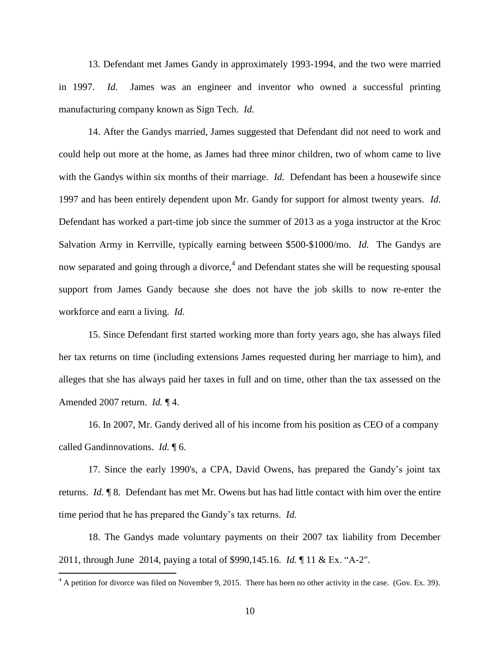13. Defendant met James Gandy in approximately 1993-1994, and the two were married in 1997. *Id.* James was an engineer and inventor who owned a successful printing manufacturing company known as Sign Tech. *Id.* 

14. After the Gandys married, James suggested that Defendant did not need to work and could help out more at the home, as James had three minor children, two of whom came to live with the Gandys within six months of their marriage. *Id.* Defendant has been a housewife since 1997 and has been entirely dependent upon Mr. Gandy for support for almost twenty years. *Id.*  Defendant has worked a part-time job since the summer of 2013 as a yoga instructor at the Kroc Salvation Army in Kerrville, typically earning between \$500-\$1000/mo. *Id.* The Gandys are now separated and going through a divorce,<sup>4</sup> and Defendant states she will be requesting spousal support from James Gandy because she does not have the job skills to now re-enter the workforce and earn a living. *Id.*

15. Since Defendant first started working more than forty years ago, she has always filed her tax returns on time (including extensions James requested during her marriage to him), and alleges that she has always paid her taxes in full and on time, other than the tax assessed on the Amended 2007 return. *Id.* ¶ 4.

16. In 2007, Mr. Gandy derived all of his income from his position as CEO of a company called Gandinnovations. *Id.* ¶ 6.

17. Since the early 1990's, a CPA, David Owens, has prepared the Gandy's joint tax returns. *Id.* ¶ 8. Defendant has met Mr. Owens but has had little contact with him over the entire time period that he has prepared the Gandy's tax returns. *Id.* 

18. The Gandys made voluntary payments on their 2007 tax liability from December 2011, through June 2014, paying a total of \$990,145.16. *Id.* ¶ 11 & Ex. "A-2".

 $4\text{ A}$  petition for divorce was filed on November 9, 2015. There has been no other activity in the case. (Gov. Ex. 39).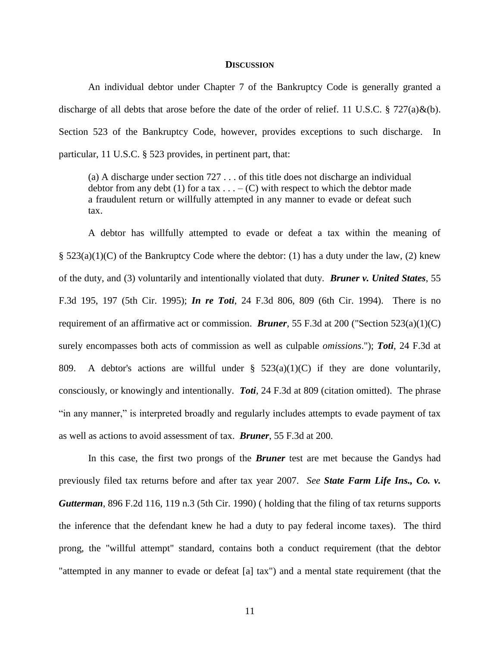### **DISCUSSION**

An individual debtor under Chapter 7 of the Bankruptcy Code is generally granted a discharge of all debts that arose before the date of the order of relief. 11 U.S.C. § 727(a)&(b). Section 523 of the Bankruptcy Code, however, provides exceptions to such discharge. In particular, 11 U.S.C. § 523 provides, in pertinent part, that:

(a) A discharge under section 727 . . . of this title does not discharge an individual debtor from any debt (1) for a tax  $\dots$  – (C) with respect to which the debtor made a fraudulent return or willfully attempted in any manner to evade or defeat such tax.

A debtor has willfully attempted to evade or defeat a tax within the meaning of  $\S$  523(a)(1)(C) of the Bankruptcy Code where the debtor: (1) has a duty under the law, (2) knew of the duty, and (3) voluntarily and intentionally violated that duty. *Bruner v. United States*, 55 F.3d 195, 197 (5th Cir. 1995); *In re Toti*, 24 F.3d 806, 809 (6th Cir. 1994). There is no requirement of an affirmative act or commission. *Bruner*, 55 F.3d at 200 ("Section 523(a)(1)(C) surely encompasses both acts of commission as well as culpable *omissions*."); *Toti*, 24 F.3d at 809. A debtor's actions are willful under  $\S$  523(a)(1)(C) if they are done voluntarily, consciously, or knowingly and intentionally. *Toti*, 24 F.3d at 809 (citation omitted). The phrase "in any manner," is interpreted broadly and regularly includes attempts to evade payment of tax as well as actions to avoid assessment of tax. *Bruner*, 55 F.3d at 200.

In this case, the first two prongs of the *Bruner* test are met because the Gandys had previously filed tax returns before and after tax year 2007. *See State Farm Life Ins., Co. v. Gutterman*, 896 F.2d 116, 119 n.3 (5th Cir. 1990) ( holding that the filing of tax returns supports the inference that the defendant knew he had a duty to pay federal income taxes). The third prong, the "willful attempt" standard, contains both a conduct requirement (that the debtor "attempted in any manner to evade or defeat [a] tax") and a mental state requirement (that the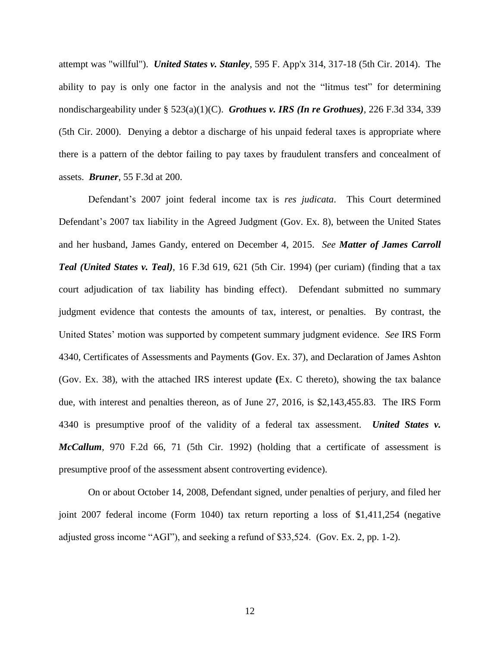attempt was "willful"). *United States v. Stanley*, 595 F. App'x 314, 317-18 (5th Cir. 2014). The ability to pay is only one factor in the analysis and not the "litmus test" for determining nondischargeability under § 523(a)(1)(C). *Grothues v. IRS (In re Grothues)*, 226 F.3d 334, 339 (5th Cir. 2000). Denying a debtor a discharge of his unpaid federal taxes is appropriate where there is a pattern of the debtor failing to pay taxes by fraudulent transfers and concealment of assets. *Bruner*, 55 F.3d at 200.

Defendant's 2007 joint federal income tax is *res judicata*. This Court determined Defendant's 2007 tax liability in the Agreed Judgment (Gov. Ex. 8), between the United States and her husband, James Gandy, entered on December 4, 2015. *See Matter of James Carroll Teal (United States v. Teal)*, 16 F.3d 619, 621 (5th Cir. 1994) (per curiam) (finding that a tax court adjudication of tax liability has binding effect). Defendant submitted no summary judgment evidence that contests the amounts of tax, interest, or penalties. By contrast, the United States' motion was supported by competent summary judgment evidence. *See* IRS Form 4340, Certificates of Assessments and Payments **(**Gov. Ex. 37), and Declaration of James Ashton (Gov. Ex. 38), with the attached IRS interest update **(**Ex. C thereto), showing the tax balance due, with interest and penalties thereon, as of June 27, 2016, is \$2,143,455.83. The IRS Form 4340 is presumptive proof of the validity of a federal tax assessment. *United States v. McCallum*, 970 F.2d 66, 71 (5th Cir. 1992) (holding that a certificate of assessment is presumptive proof of the assessment absent controverting evidence).

On or about October 14, 2008, Defendant signed, under penalties of perjury, and filed her joint 2007 federal income (Form 1040) tax return reporting a loss of \$1,411,254 (negative adjusted gross income "AGI"), and seeking a refund of \$33,524. (Gov. Ex. 2, pp. 1-2).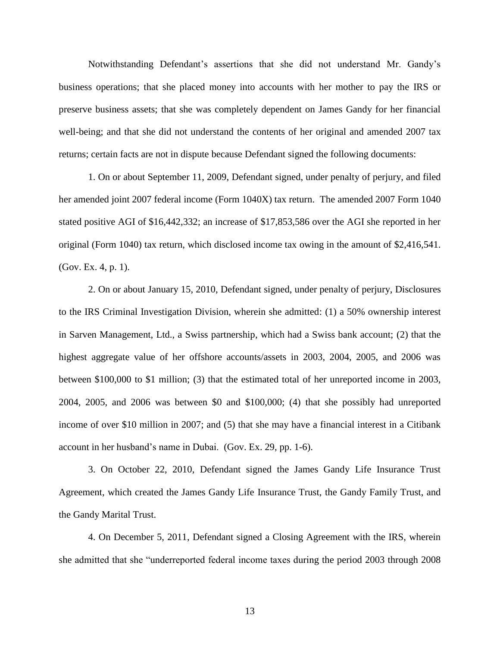Notwithstanding Defendant's assertions that she did not understand Mr. Gandy's business operations; that she placed money into accounts with her mother to pay the IRS or preserve business assets; that she was completely dependent on James Gandy for her financial well-being; and that she did not understand the contents of her original and amended 2007 tax returns; certain facts are not in dispute because Defendant signed the following documents:

1. On or about September 11, 2009, Defendant signed, under penalty of perjury, and filed her amended joint 2007 federal income (Form 1040X) tax return. The amended 2007 Form 1040 stated positive AGI of \$16,442,332; an increase of \$17,853,586 over the AGI she reported in her original (Form 1040) tax return, which disclosed income tax owing in the amount of \$2,416,541. (Gov. Ex. 4, p. 1).

2. On or about January 15, 2010, Defendant signed, under penalty of perjury, Disclosures to the IRS Criminal Investigation Division, wherein she admitted: (1) a 50% ownership interest in Sarven Management, Ltd., a Swiss partnership, which had a Swiss bank account; (2) that the highest aggregate value of her offshore accounts/assets in 2003, 2004, 2005, and 2006 was between \$100,000 to \$1 million; (3) that the estimated total of her unreported income in 2003, 2004, 2005, and 2006 was between \$0 and \$100,000; (4) that she possibly had unreported income of over \$10 million in 2007; and (5) that she may have a financial interest in a Citibank account in her husband's name in Dubai. (Gov. Ex. 29, pp. 1-6).

3. On October 22, 2010, Defendant signed the James Gandy Life Insurance Trust Agreement, which created the James Gandy Life Insurance Trust, the Gandy Family Trust, and the Gandy Marital Trust.

4. On December 5, 2011, Defendant signed a Closing Agreement with the IRS, wherein she admitted that she "underreported federal income taxes during the period 2003 through 2008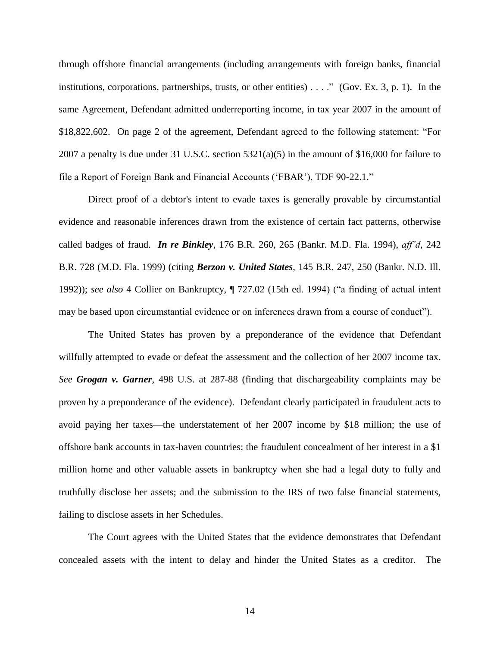through offshore financial arrangements (including arrangements with foreign banks, financial institutions, corporations, partnerships, trusts, or other entities)  $\dots$ ." (Gov. Ex. 3, p. 1). In the same Agreement, Defendant admitted underreporting income, in tax year 2007 in the amount of \$18,822,602. On page 2 of the agreement, Defendant agreed to the following statement: "For 2007 a penalty is due under 31 U.S.C. section  $5321(a)(5)$  in the amount of \$16,000 for failure to file a Report of Foreign Bank and Financial Accounts ('FBAR'), TDF 90-22.1."

Direct proof of a debtor's intent to evade taxes is generally provable by circumstantial evidence and reasonable inferences drawn from the existence of certain fact patterns, otherwise called badges of fraud. *In re Binkley*, 176 B.R. 260, 265 (Bankr. M.D. Fla. 1994), *aff'd*, 242 B.R. 728 (M.D. Fla. 1999) (citing *Berzon v. United States*, 145 B.R. 247, 250 (Bankr. N.D. Ill. 1992)); *see also* 4 Collier on Bankruptcy, ¶ 727.02 (15th ed. 1994) ("a finding of actual intent may be based upon circumstantial evidence or on inferences drawn from a course of conduct").

The United States has proven by a preponderance of the evidence that Defendant willfully attempted to evade or defeat the assessment and the collection of her 2007 income tax. *See Grogan v. Garner*, 498 U.S. at 287-88 (finding that dischargeability complaints may be proven by a preponderance of the evidence). Defendant clearly participated in fraudulent acts to avoid paying her taxes—the understatement of her 2007 income by \$18 million; the use of offshore bank accounts in tax-haven countries; the fraudulent concealment of her interest in a \$1 million home and other valuable assets in bankruptcy when she had a legal duty to fully and truthfully disclose her assets; and the submission to the IRS of two false financial statements, failing to disclose assets in her Schedules.

The Court agrees with the United States that the evidence demonstrates that Defendant concealed assets with the intent to delay and hinder the United States as a creditor. The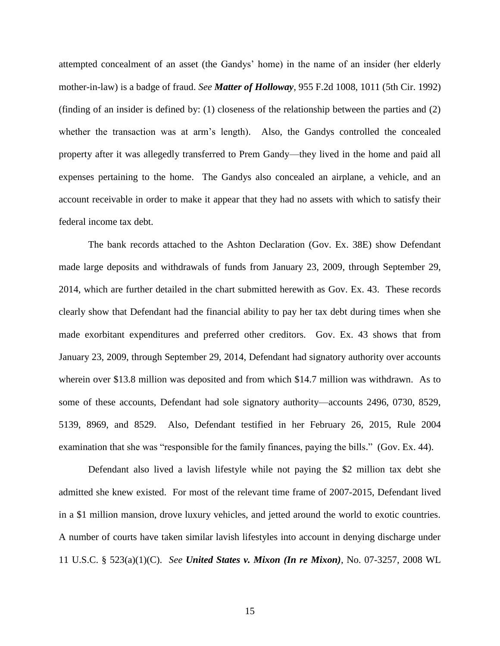attempted concealment of an asset (the Gandys' home) in the name of an insider (her elderly mother-in-law) is a badge of fraud. *See Matter of Holloway*, 955 F.2d 1008, 1011 (5th Cir. 1992) (finding of an insider is defined by: (1) closeness of the relationship between the parties and (2) whether the transaction was at arm's length). Also, the Gandys controlled the concealed property after it was allegedly transferred to Prem Gandy—they lived in the home and paid all expenses pertaining to the home. The Gandys also concealed an airplane, a vehicle, and an account receivable in order to make it appear that they had no assets with which to satisfy their federal income tax debt.

The bank records attached to the Ashton Declaration (Gov. Ex. 38E) show Defendant made large deposits and withdrawals of funds from January 23, 2009, through September 29, 2014, which are further detailed in the chart submitted herewith as Gov. Ex. 43. These records clearly show that Defendant had the financial ability to pay her tax debt during times when she made exorbitant expenditures and preferred other creditors. Gov. Ex. 43 shows that from January 23, 2009, through September 29, 2014, Defendant had signatory authority over accounts wherein over \$13.8 million was deposited and from which \$14.7 million was withdrawn. As to some of these accounts, Defendant had sole signatory authority—accounts 2496, 0730, 8529, 5139, 8969, and 8529. Also, Defendant testified in her February 26, 2015, Rule 2004 examination that she was "responsible for the family finances, paying the bills." (Gov. Ex. 44).

Defendant also lived a lavish lifestyle while not paying the \$2 million tax debt she admitted she knew existed. For most of the relevant time frame of 2007-2015, Defendant lived in a \$1 million mansion, drove luxury vehicles, and jetted around the world to exotic countries. A number of courts have taken similar lavish lifestyles into account in denying discharge under 11 U.S.C. § 523(a)(1)(C). *See United States v. Mixon (In re Mixon)*, No. 07-3257, 2008 WL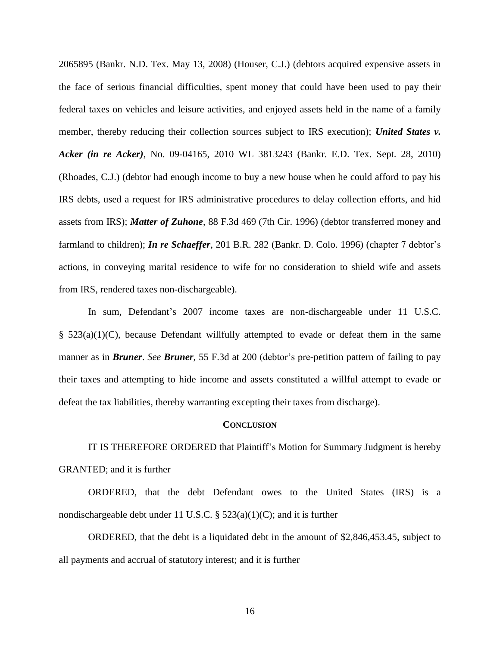2065895 (Bankr. N.D. Tex. May 13, 2008) (Houser, C.J.) (debtors acquired expensive assets in the face of serious financial difficulties, spent money that could have been used to pay their federal taxes on vehicles and leisure activities, and enjoyed assets held in the name of a family member, thereby reducing their collection sources subject to IRS execution); *United States v. Acker (in re Acker)*, No. 09-04165, 2010 WL 3813243 (Bankr. E.D. Tex. Sept. 28, 2010) (Rhoades, C.J.) (debtor had enough income to buy a new house when he could afford to pay his IRS debts, used a request for IRS administrative procedures to delay collection efforts, and hid assets from IRS); *Matter of Zuhone*, 88 F.3d 469 (7th Cir. 1996) (debtor transferred money and farmland to children); *In re Schaeffer*, 201 B.R. 282 (Bankr. D. Colo. 1996) (chapter 7 debtor's actions, in conveying marital residence to wife for no consideration to shield wife and assets from IRS, rendered taxes non-dischargeable).

In sum, Defendant's 2007 income taxes are non-dischargeable under 11 U.S.C. § 523(a)(1)(C), because Defendant willfully attempted to evade or defeat them in the same manner as in *Bruner*. *See Bruner*, 55 F.3d at 200 (debtor's pre-petition pattern of failing to pay their taxes and attempting to hide income and assets constituted a willful attempt to evade or defeat the tax liabilities, thereby warranting excepting their taxes from discharge).

## **CONCLUSION**

IT IS THEREFORE ORDERED that Plaintiff's Motion for Summary Judgment is hereby GRANTED; and it is further

ORDERED, that the debt Defendant owes to the United States (IRS) is a nondischargeable debt under 11 U.S.C. §  $523(a)(1)(C)$ ; and it is further

ORDERED, that the debt is a liquidated debt in the amount of \$2,846,453.45, subject to all payments and accrual of statutory interest; and it is further